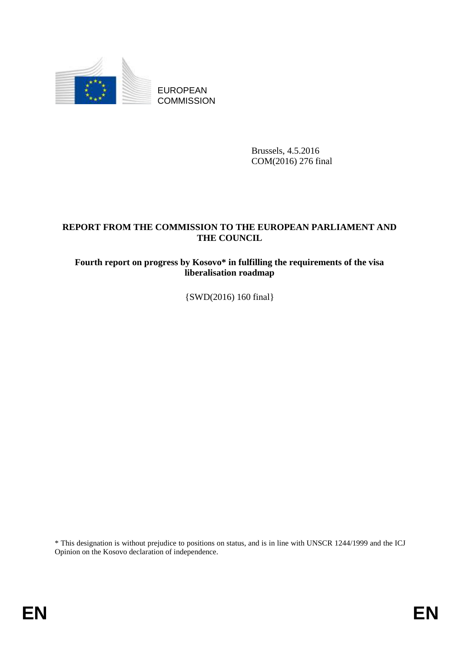

EUROPEAN **COMMISSION** 

> Brussels, 4.5.2016 COM(2016) 276 final

# **REPORT FROM THE COMMISSION TO THE EUROPEAN PARLIAMENT AND THE COUNCIL**

# **Fourth report on progress by Kosovo\* in fulfilling the requirements of the visa liberalisation roadmap**

{SWD(2016) 160 final}

\* This designation is without prejudice to positions on status, and is in line with UNSCR 1244/1999 and the ICJ Opinion on the Kosovo declaration of independence.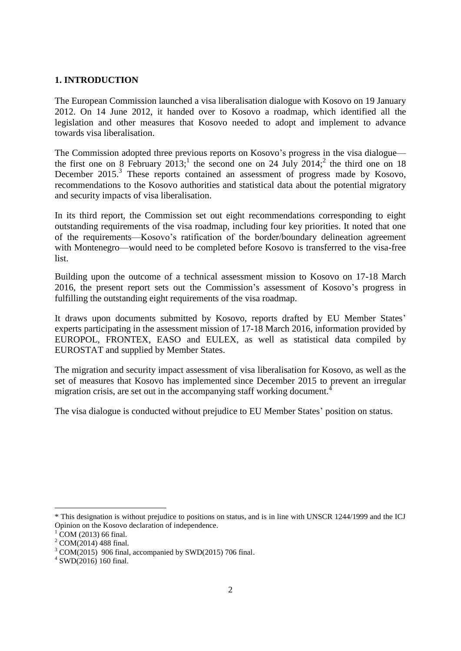### **1. INTRODUCTION**

The European Commission launched a visa liberalisation dialogue with Kosovo on 19 January 2012. On 14 June 2012, it handed over to Kosovo a roadmap, which identified all the legislation and other measures that Kosovo needed to adopt and implement to advance towards visa liberalisation.

The Commission adopted three previous reports on Kosovo's progress in the visa dialogue the first one on 8 February  $2013$ ; the second one on 24 July  $2014$ ; the third one on 18 December 2015.<sup>3</sup> These reports contained an assessment of progress made by Kosovo, recommendations to the Kosovo authorities and statistical data about the potential migratory and security impacts of visa liberalisation.

In its third report, the Commission set out eight recommendations corresponding to eight outstanding requirements of the visa roadmap, including four key priorities. It noted that one of the requirements—Kosovo's ratification of the border/boundary delineation agreement with Montenegro—would need to be completed before Kosovo is transferred to the visa-free list.

Building upon the outcome of a technical assessment mission to Kosovo on 17-18 March 2016, the present report sets out the Commission's assessment of Kosovo's progress in fulfilling the outstanding eight requirements of the visa roadmap.

It draws upon documents submitted by Kosovo, reports drafted by EU Member States' experts participating in the assessment mission of 17-18 March 2016, information provided by EUROPOL, FRONTEX, EASO and EULEX, as well as statistical data compiled by EUROSTAT and supplied by Member States.

The migration and security impact assessment of visa liberalisation for Kosovo, as well as the set of measures that Kosovo has implemented since December 2015 to prevent an irregular migration crisis, are set out in the accompanying staff working document.<sup>4</sup>

The visa dialogue is conducted without prejudice to EU Member States' position on status.

 $\overline{a}$ 

<sup>\*</sup> This designation is without prejudice to positions on status, and is in line with UNSCR 1244/1999 and the ICJ Opinion on the Kosovo declaration of independence.

COM (2013) 66 final.

 $^{2}$  COM(2014) 488 final.

 $3$  COM(2015) 906 final, accompanied by SWD(2015) 706 final.

<sup>4</sup> SWD(2016) 160 final.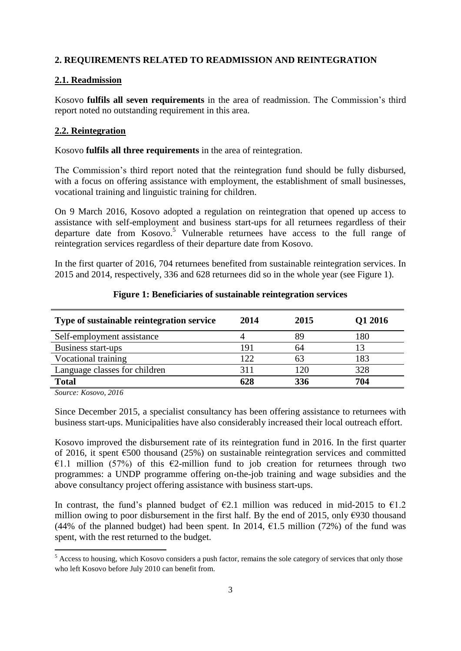### **2. REQUIREMENTS RELATED TO READMISSION AND REINTEGRATION**

#### **2.1. Readmission**

Kosovo **fulfils all seven requirements** in the area of readmission. The Commission's third report noted no outstanding requirement in this area.

### **2.2. Reintegration**

Kosovo **fulfils all three requirements** in the area of reintegration.

The Commission's third report noted that the reintegration fund should be fully disbursed, with a focus on offering assistance with employment, the establishment of small businesses, vocational training and linguistic training for children.

On 9 March 2016, Kosovo adopted a regulation on reintegration that opened up access to assistance with self-employment and business start-ups for all returnees regardless of their departure date from Kosovo. <sup>5</sup> Vulnerable returnees have access to the full range of reintegration services regardless of their departure date from Kosovo.

In the first quarter of 2016, 704 returnees benefited from sustainable reintegration services. In 2015 and 2014, respectively, 336 and 628 returnees did so in the whole year (see Figure 1).

| Type of sustainable reintegration service | 2014 | 2015 | Q1 2016 |
|-------------------------------------------|------|------|---------|
| Self-employment assistance                |      | 89   | 180     |
| Business start-ups                        | 191  | 64   |         |
| Vocational training                       | 122  | 63   | 183     |
| Language classes for children             | 311  |      | 328     |
| <b>Total</b>                              | 628  | 336  | 704     |

#### **Figure 1: Beneficiaries of sustainable reintegration services**

*Source: Kosovo, 2016*

1

Since December 2015, a specialist consultancy has been offering assistance to returnees with business start-ups. Municipalities have also considerably increased their local outreach effort.

Kosovo improved the disbursement rate of its reintegration fund in 2016. In the first quarter of 2016, it spent  $\epsilon$ 500 thousand (25%) on sustainable reintegration services and committed €1.1 million (57%) of this €2-million fund to job creation for returnees through two programmes: a UNDP programme offering on-the-job training and wage subsidies and the above consultancy project offering assistance with business start-ups.

In contrast, the fund's planned budget of  $\epsilon$ 2.1 million was reduced in mid-2015 to  $\epsilon$ 1.2 million owing to poor disbursement in the first half. By the end of 2015, only  $\epsilon$ 930 thousand (44% of the planned budget) had been spent. In 2014,  $\epsilon$ 1.5 million (72%) of the fund was spent, with the rest returned to the budget.

 $<sup>5</sup>$  Access to housing, which Kosovo considers a push factor, remains the sole category of services that only those</sup> who left Kosovo before July 2010 can benefit from.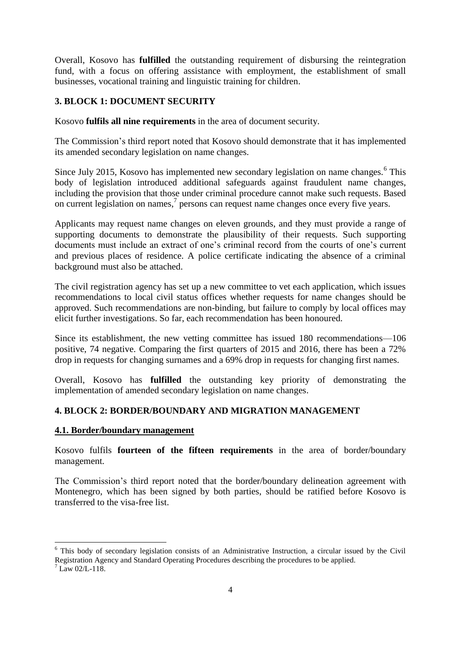Overall, Kosovo has **fulfilled** the outstanding requirement of disbursing the reintegration fund, with a focus on offering assistance with employment, the establishment of small businesses, vocational training and linguistic training for children.

## **3. BLOCK 1: DOCUMENT SECURITY**

Kosovo **fulfils all nine requirements** in the area of document security.

The Commission's third report noted that Kosovo should demonstrate that it has implemented its amended secondary legislation on name changes.

Since July 2015, Kosovo has implemented new secondary legislation on name changes.<sup>6</sup> This body of legislation introduced additional safeguards against fraudulent name changes, including the provision that those under criminal procedure cannot make such requests. Based on current legislation on names, 7 persons can request name changes once every five years.

Applicants may request name changes on eleven grounds, and they must provide a range of supporting documents to demonstrate the plausibility of their requests. Such supporting documents must include an extract of one's criminal record from the courts of one's current and previous places of residence. A police certificate indicating the absence of a criminal background must also be attached.

The civil registration agency has set up a new committee to vet each application, which issues recommendations to local civil status offices whether requests for name changes should be approved. Such recommendations are non-binding, but failure to comply by local offices may elicit further investigations. So far, each recommendation has been honoured.

Since its establishment, the new vetting committee has issued 180 recommendations—106 positive, 74 negative. Comparing the first quarters of 2015 and 2016, there has been a 72% drop in requests for changing surnames and a 69% drop in requests for changing first names.

Overall, Kosovo has **fulfilled** the outstanding key priority of demonstrating the implementation of amended secondary legislation on name changes.

### **4. BLOCK 2: BORDER/BOUNDARY AND MIGRATION MANAGEMENT**

### **4.1. Border/boundary management**

Kosovo fulfils **fourteen of the fifteen requirements** in the area of border/boundary management.

The Commission's third report noted that the border/boundary delineation agreement with Montenegro, which has been signed by both parties, should be ratified before Kosovo is transferred to the visa-free list.

1

<sup>&</sup>lt;sup>6</sup> This body of secondary legislation consists of an Administrative Instruction, a circular issued by the Civil Registration Agency and Standard Operating Procedures describing the procedures to be applied.

 $^7$  Law 02/L-118.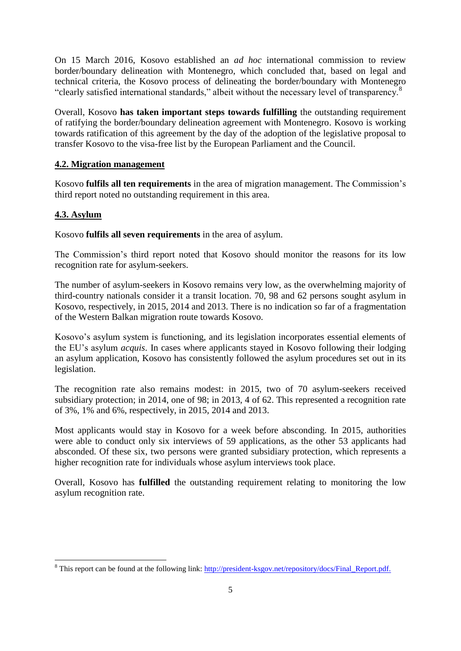On 15 March 2016, Kosovo established an *ad hoc* international commission to review border/boundary delineation with Montenegro, which concluded that, based on legal and technical criteria, the Kosovo process of delineating the border/boundary with Montenegro "clearly satisfied international standards," albeit without the necessary level of transparency.<sup>8</sup>

Overall, Kosovo **has taken important steps towards fulfilling** the outstanding requirement of ratifying the border/boundary delineation agreement with Montenegro. Kosovo is working towards ratification of this agreement by the day of the adoption of the legislative proposal to transfer Kosovo to the visa-free list by the European Parliament and the Council.

### **4.2. Migration management**

Kosovo **fulfils all ten requirements** in the area of migration management. The Commission's third report noted no outstanding requirement in this area.

## **4.3. Asylum**

 $\overline{a}$ 

Kosovo **fulfils all seven requirements** in the area of asylum.

The Commission's third report noted that Kosovo should monitor the reasons for its low recognition rate for asylum-seekers.

The number of asylum-seekers in Kosovo remains very low, as the overwhelming majority of third-country nationals consider it a transit location. 70, 98 and 62 persons sought asylum in Kosovo, respectively, in 2015, 2014 and 2013. There is no indication so far of a fragmentation of the Western Balkan migration route towards Kosovo.

Kosovo's asylum system is functioning, and its legislation incorporates essential elements of the EU's asylum *acquis*. In cases where applicants stayed in Kosovo following their lodging an asylum application, Kosovo has consistently followed the asylum procedures set out in its legislation.

The recognition rate also remains modest: in 2015, two of 70 asylum-seekers received subsidiary protection; in 2014, one of 98; in 2013, 4 of 62. This represented a recognition rate of 3%, 1% and 6%, respectively, in 2015, 2014 and 2013.

Most applicants would stay in Kosovo for a week before absconding. In 2015, authorities were able to conduct only six interviews of 59 applications, as the other 53 applicants had absconded. Of these six, two persons were granted subsidiary protection, which represents a higher recognition rate for individuals whose asylum interviews took place.

Overall, Kosovo has **fulfilled** the outstanding requirement relating to monitoring the low asylum recognition rate.

<sup>&</sup>lt;sup>8</sup> This report can be found at the following link: [http://president-ksgov.net/repository/docs/Final\\_Report.pdf.](http://president-ksgov.net/repository/docs/Final_Report.pdf)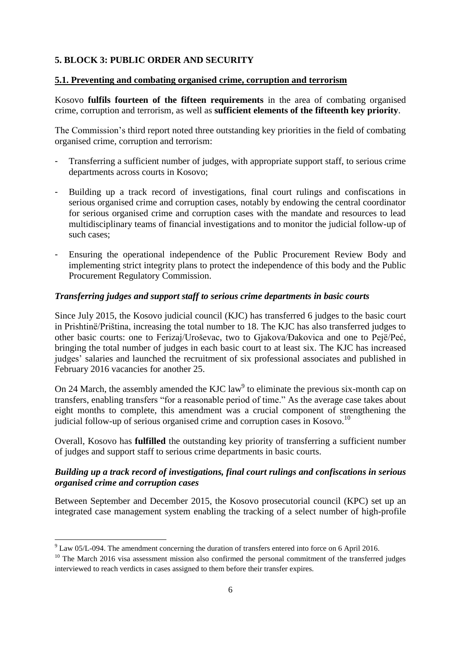## **5. BLOCK 3: PUBLIC ORDER AND SECURITY**

### **5.1. Preventing and combating organised crime, corruption and terrorism**

Kosovo **fulfils fourteen of the fifteen requirements** in the area of combating organised crime, corruption and terrorism, as well as **sufficient elements of the fifteenth key priority**.

The Commission's third report noted three outstanding key priorities in the field of combating organised crime, corruption and terrorism:

- Transferring a sufficient number of judges, with appropriate support staff, to serious crime departments across courts in Kosovo;
- Building up a track record of investigations, final court rulings and confiscations in serious organised crime and corruption cases, notably by endowing the central coordinator for serious organised crime and corruption cases with the mandate and resources to lead multidisciplinary teams of financial investigations and to monitor the judicial follow-up of such cases;
- Ensuring the operational independence of the Public Procurement Review Body and implementing strict integrity plans to protect the independence of this body and the Public Procurement Regulatory Commission.

### *Transferring judges and support staff to serious crime departments in basic courts*

Since July 2015, the Kosovo judicial council (KJC) has transferred 6 judges to the basic court in Prishtinë/Priština, increasing the total number to 18. The KJC has also transferred judges to other basic courts: one to Ferizaj/Uroševac, two to Gjakova/Đakovica and one to Pejë/Peć, bringing the total number of judges in each basic court to at least six. The KJC has increased judges' salaries and launched the recruitment of six professional associates and published in February 2016 vacancies for another 25.

On 24 March, the assembly amended the KJC  $law<sup>9</sup>$  to eliminate the previous six-month cap on transfers, enabling transfers "for a reasonable period of time." As the average case takes about eight months to complete, this amendment was a crucial component of strengthening the judicial follow-up of serious organised crime and corruption cases in Kosovo.<sup>10</sup>

Overall, Kosovo has **fulfilled** the outstanding key priority of transferring a sufficient number of judges and support staff to serious crime departments in basic courts.

## *Building up a track record of investigations, final court rulings and confiscations in serious organised crime and corruption cases*

Between September and December 2015, the Kosovo prosecutorial council (KPC) set up an integrated case management system enabling the tracking of a select number of high-profile

**.** 

 $9$  Law 05/L-094. The amendment concerning the duration of transfers entered into force on 6 April 2016.

<sup>&</sup>lt;sup>10</sup> The March 2016 visa assessment mission also confirmed the personal commitment of the transferred judges interviewed to reach verdicts in cases assigned to them before their transfer expires.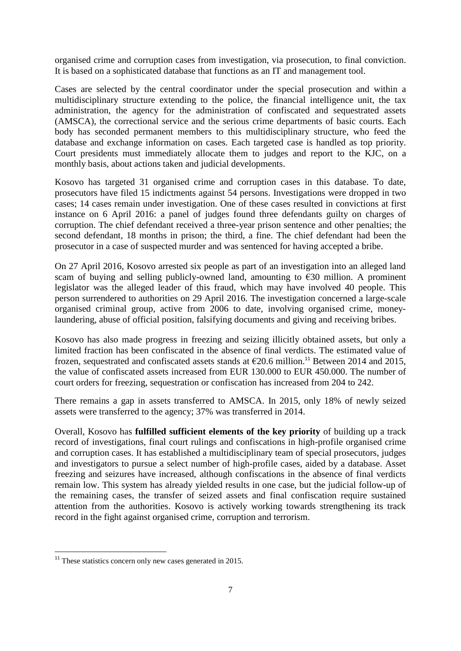organised crime and corruption cases from investigation, via prosecution, to final conviction. It is based on a sophisticated database that functions as an IT and management tool.

Cases are selected by the central coordinator under the special prosecution and within a multidisciplinary structure extending to the police, the financial intelligence unit, the tax administration, the agency for the administration of confiscated and sequestrated assets (AMSCA), the correctional service and the serious crime departments of basic courts. Each body has seconded permanent members to this multidisciplinary structure, who feed the database and exchange information on cases. Each targeted case is handled as top priority. Court presidents must immediately allocate them to judges and report to the KJC, on a monthly basis, about actions taken and judicial developments.

Kosovo has targeted 31 organised crime and corruption cases in this database. To date, prosecutors have filed 15 indictments against 54 persons. Investigations were dropped in two cases; 14 cases remain under investigation. One of these cases resulted in convictions at first instance on 6 April 2016: a panel of judges found three defendants guilty on charges of corruption. The chief defendant received a three-year prison sentence and other penalties; the second defendant, 18 months in prison; the third, a fine. The chief defendant had been the prosecutor in a case of suspected murder and was sentenced for having accepted a bribe.

On 27 April 2016, Kosovo arrested six people as part of an investigation into an alleged land scam of buying and selling publicly-owned land, amounting to  $\epsilon$ 30 million. A prominent legislator was the alleged leader of this fraud, which may have involved 40 people. This person surrendered to authorities on 29 April 2016. The investigation concerned a large-scale organised criminal group, active from 2006 to date, involving organised crime, moneylaundering, abuse of official position, falsifying documents and giving and receiving bribes.

Kosovo has also made progress in freezing and seizing illicitly obtained assets, but only a limited fraction has been confiscated in the absence of final verdicts. The estimated value of frozen, sequestrated and confiscated assets stands at  $\epsilon$ 20.6 million.<sup>11</sup> Between 2014 and 2015, the value of confiscated assets increased from EUR 130.000 to EUR 450.000. The number of court orders for freezing, sequestration or confiscation has increased from 204 to 242.

There remains a gap in assets transferred to AMSCA. In 2015, only 18% of newly seized assets were transferred to the agency; 37% was transferred in 2014.

Overall, Kosovo has **fulfilled sufficient elements of the key priority** of building up a track record of investigations, final court rulings and confiscations in high-profile organised crime and corruption cases. It has established a multidisciplinary team of special prosecutors, judges and investigators to pursue a select number of high-profile cases, aided by a database. Asset freezing and seizures have increased, although confiscations in the absence of final verdicts remain low. This system has already yielded results in one case, but the judicial follow-up of the remaining cases, the transfer of seized assets and final confiscation require sustained attention from the authorities. Kosovo is actively working towards strengthening its track record in the fight against organised crime, corruption and terrorism.

**.** 

 $11$ <sup>11</sup> These statistics concern only new cases generated in 2015.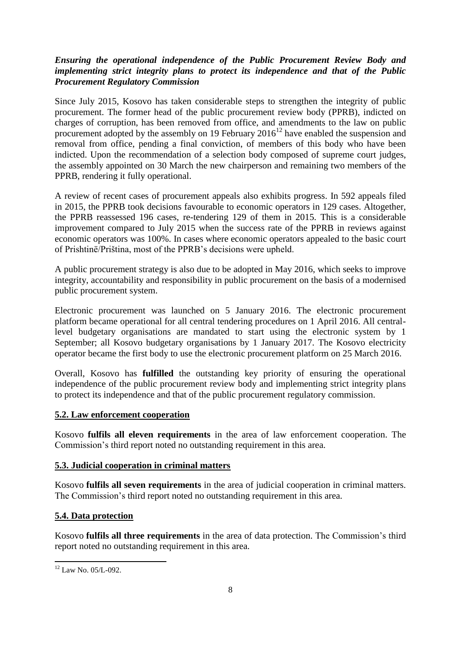## *Ensuring the operational independence of the Public Procurement Review Body and implementing strict integrity plans to protect its independence and that of the Public Procurement Regulatory Commission*

Since July 2015, Kosovo has taken considerable steps to strengthen the integrity of public procurement. The former head of the public procurement review body (PPRB), indicted on charges of corruption, has been removed from office, and amendments to the law on public procurement adopted by the assembly on 19 February 2016<sup>12</sup> have enabled the suspension and removal from office, pending a final conviction, of members of this body who have been indicted. Upon the recommendation of a selection body composed of supreme court judges, the assembly appointed on 30 March the new chairperson and remaining two members of the PPRB, rendering it fully operational.

A review of recent cases of procurement appeals also exhibits progress. In 592 appeals filed in 2015, the PPRB took decisions favourable to economic operators in 129 cases. Altogether, the PPRB reassessed 196 cases, re-tendering 129 of them in 2015. This is a considerable improvement compared to July 2015 when the success rate of the PPRB in reviews against economic operators was 100%. In cases where economic operators appealed to the basic court of Prishtinë/Priština, most of the PPRB's decisions were upheld.

A public procurement strategy is also due to be adopted in May 2016, which seeks to improve integrity, accountability and responsibility in public procurement on the basis of a modernised public procurement system.

Electronic procurement was launched on 5 January 2016. The electronic procurement platform became operational for all central tendering procedures on 1 April 2016. All centrallevel budgetary organisations are mandated to start using the electronic system by 1 September; all Kosovo budgetary organisations by 1 January 2017. The Kosovo electricity operator became the first body to use the electronic procurement platform on 25 March 2016.

Overall, Kosovo has **fulfilled** the outstanding key priority of ensuring the operational independence of the public procurement review body and implementing strict integrity plans to protect its independence and that of the public procurement regulatory commission.

### **5.2. Law enforcement cooperation**

Kosovo **fulfils all eleven requirements** in the area of law enforcement cooperation. The Commission's third report noted no outstanding requirement in this area.

### **5.3. Judicial cooperation in criminal matters**

Kosovo **fulfils all seven requirements** in the area of judicial cooperation in criminal matters. The Commission's third report noted no outstanding requirement in this area.

### **5.4. Data protection**

Kosovo **fulfils all three requirements** in the area of data protection. The Commission's third report noted no outstanding requirement in this area.

<sup>1</sup> <sup>12</sup> Law No. 05/L-092.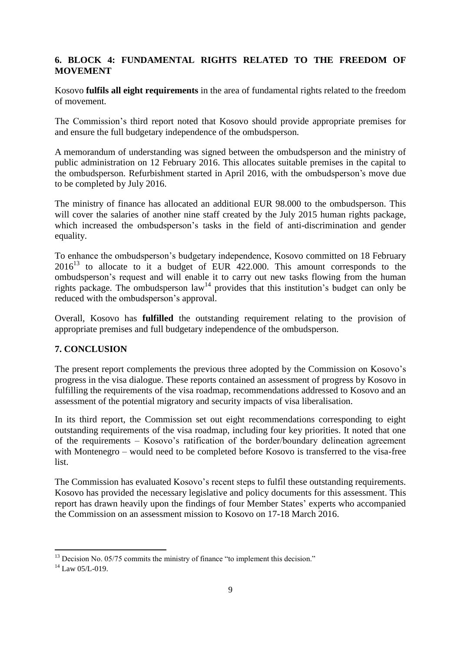## **6. BLOCK 4: FUNDAMENTAL RIGHTS RELATED TO THE FREEDOM OF MOVEMENT**

Kosovo **fulfils all eight requirements** in the area of fundamental rights related to the freedom of movement.

The Commission's third report noted that Kosovo should provide appropriate premises for and ensure the full budgetary independence of the ombudsperson.

A memorandum of understanding was signed between the ombudsperson and the ministry of public administration on 12 February 2016. This allocates suitable premises in the capital to the ombudsperson. Refurbishment started in April 2016, with the ombudsperson's move due to be completed by July 2016.

The ministry of finance has allocated an additional EUR 98.000 to the ombudsperson. This will cover the salaries of another nine staff created by the July 2015 human rights package, which increased the ombudsperson's tasks in the field of anti-discrimination and gender equality.

To enhance the ombudsperson's budgetary independence, Kosovo committed on 18 February  $2016<sup>13</sup>$  to allocate to it a budget of EUR 422.000. This amount corresponds to the ombudsperson's request and will enable it to carry out new tasks flowing from the human rights package. The ombudsperson  $\text{law}^{14}$  provides that this institution's budget can only be reduced with the ombudsperson's approval.

Overall, Kosovo has **fulfilled** the outstanding requirement relating to the provision of appropriate premises and full budgetary independence of the ombudsperson.

## **7. CONCLUSION**

The present report complements the previous three adopted by the Commission on Kosovo's progress in the visa dialogue. These reports contained an assessment of progress by Kosovo in fulfilling the requirements of the visa roadmap, recommendations addressed to Kosovo and an assessment of the potential migratory and security impacts of visa liberalisation.

In its third report, the Commission set out eight recommendations corresponding to eight outstanding requirements of the visa roadmap, including four key priorities. It noted that one of the requirements – Kosovo's ratification of the border/boundary delineation agreement with Montenegro – would need to be completed before Kosovo is transferred to the visa-free list.

The Commission has evaluated Kosovo's recent steps to fulfil these outstanding requirements. Kosovo has provided the necessary legislative and policy documents for this assessment. This report has drawn heavily upon the findings of four Member States' experts who accompanied the Commission on an assessment mission to Kosovo on 17-18 March 2016.

<sup>1</sup>  $13$  Decision No. 05/75 commits the ministry of finance "to implement this decision."

 $14$  Law 05/L-019.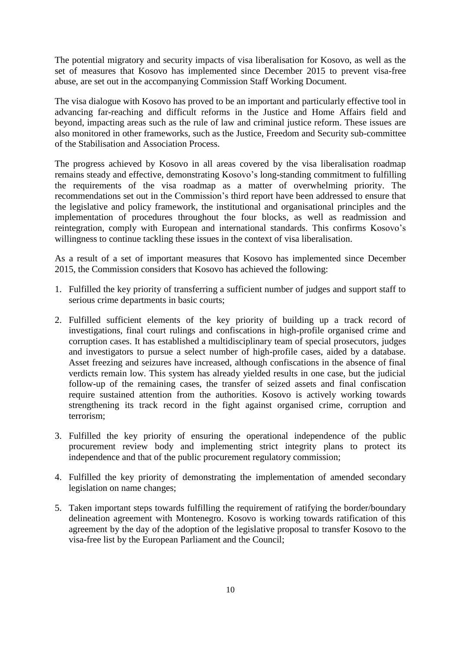The potential migratory and security impacts of visa liberalisation for Kosovo, as well as the set of measures that Kosovo has implemented since December 2015 to prevent visa-free abuse, are set out in the accompanying Commission Staff Working Document.

The visa dialogue with Kosovo has proved to be an important and particularly effective tool in advancing far-reaching and difficult reforms in the Justice and Home Affairs field and beyond, impacting areas such as the rule of law and criminal justice reform. These issues are also monitored in other frameworks, such as the Justice, Freedom and Security sub-committee of the Stabilisation and Association Process.

The progress achieved by Kosovo in all areas covered by the visa liberalisation roadmap remains steady and effective, demonstrating Kosovo's long-standing commitment to fulfilling the requirements of the visa roadmap as a matter of overwhelming priority. The recommendations set out in the Commission's third report have been addressed to ensure that the legislative and policy framework, the institutional and organisational principles and the implementation of procedures throughout the four blocks, as well as readmission and reintegration, comply with European and international standards. This confirms Kosovo's willingness to continue tackling these issues in the context of visa liberalisation.

As a result of a set of important measures that Kosovo has implemented since December 2015, the Commission considers that Kosovo has achieved the following:

- 1. Fulfilled the key priority of transferring a sufficient number of judges and support staff to serious crime departments in basic courts;
- 2. Fulfilled sufficient elements of the key priority of building up a track record of investigations, final court rulings and confiscations in high-profile organised crime and corruption cases. It has established a multidisciplinary team of special prosecutors, judges and investigators to pursue a select number of high-profile cases, aided by a database. Asset freezing and seizures have increased, although confiscations in the absence of final verdicts remain low. This system has already yielded results in one case, but the judicial follow-up of the remaining cases, the transfer of seized assets and final confiscation require sustained attention from the authorities. Kosovo is actively working towards strengthening its track record in the fight against organised crime, corruption and terrorism;
- 3. Fulfilled the key priority of ensuring the operational independence of the public procurement review body and implementing strict integrity plans to protect its independence and that of the public procurement regulatory commission;
- 4. Fulfilled the key priority of demonstrating the implementation of amended secondary legislation on name changes;
- 5. Taken important steps towards fulfilling the requirement of ratifying the border/boundary delineation agreement with Montenegro. Kosovo is working towards ratification of this agreement by the day of the adoption of the legislative proposal to transfer Kosovo to the visa-free list by the European Parliament and the Council;